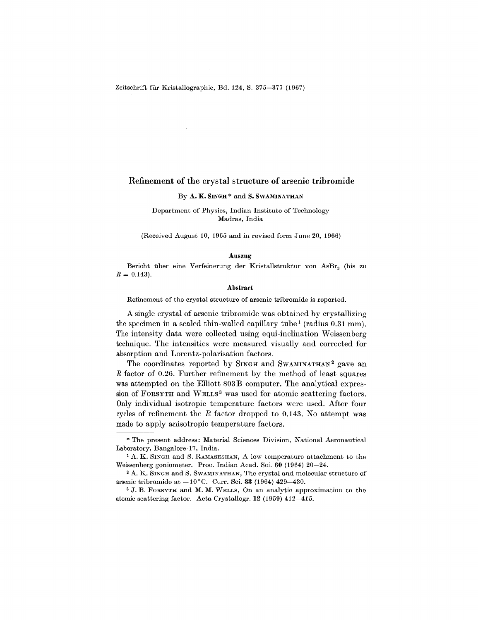## Refinement of the crystal structure of arsenic tribromide

## By A.K. SINGH<sup>\*</sup> and S. SWAMINATHAN

Department of Physics, Indian Institute of Technology Madras, India

(Received August 10, 1965 and in revised form June 20, 1966)

## Auszug

Bericht über eine Verfeinerung der Kristallstruktur von AsBr<sub>3</sub> (bis zu  $R = 0.143$ 

## Abstract

Refinement of the crystal structure of arsenic tribromide is reported.

A single crystal of arsenic tribromide was obtained by crystallizing the specimen in a sealed thin-walled capillary tube<sup>1</sup> (radius  $0.31 \text{ mm}$ ). The intensity data were collected using equi-inclination Weissenberg technique. The intensities were measured visually and corrected for absorption and Lorentz-polarisation factors.

The coordinates reported by SINGH and SWAMINATHAN<sup>2</sup> gave an *R* factor of 0.26. Further refinement by the method of least squares was attempted on the Elliott 803B computer. The analytical expression of FORSYTH and WELLS<sup>3</sup> was used for atomic scattering factors. Only individual isotropic temperature factors were used. After four cycles of refinement the *R* factor dropped to 0.143. No attempt was made to apply anisotropic temperature factors.

Laboratory, Bangalore-17, Indi The present address: Material Sciences Division, National Aeronautical

<sup>1</sup> A. K. SINGH and S. RAMASESHAN, A low temperature attachment to the Weissenberg goniometer. Proc. Indian Acad. Sci. 60 (1964) 20-24.

<sup>2</sup> A. K. SINGH and S. SWAMINATHAN, The crystal and molecular structure of arsenic tribromide at  $-10^{\circ}$ C. Curr. Sci. 33 (1964) 429-430.

<sup>3</sup> J. B. FORSYTH and M. M. WELLS, On an analytic approximation to the atomic scattering factor. Acta Crystallogr. 12 (1959) 412-415.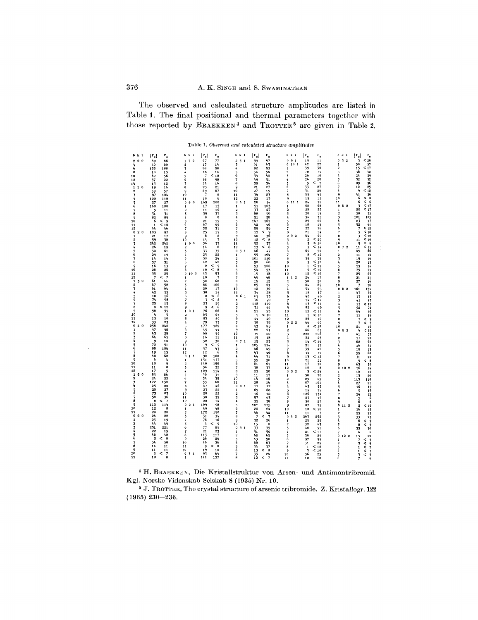The observed and calculated structure amplitudes are listed in Table 1. The final positional and thermal parameters together with those reported by BRAEKKEN<sup>4</sup> and TROTTER<sup>5</sup> are given in Table 2.

|                                               |                                                                     |                                                            |                                                     |                                                          | Table 1. Observed and calculated structure amplitudes |                                                              |                                                                             |
|-----------------------------------------------|---------------------------------------------------------------------|------------------------------------------------------------|-----------------------------------------------------|----------------------------------------------------------|-------------------------------------------------------|--------------------------------------------------------------|-----------------------------------------------------------------------------|
| h k l                                         | $ F_c $<br>۴.                                                       | $ P_e $<br>h k l                                           | $\mathbf{F_{o}}$<br>h k 1                           | $ \mathbf{r}_e $<br>$\mathbf{F_{o}}$                     | $ F_c $<br>h k l                                      | $\mathbf{F_{o}}$<br>h k l                                    | $ F_c $<br>۴.                                                               |
| $\overline{2}$<br>0 <sub>0</sub>              | 89<br>86                                                            | $\overline{7}$<br>$\theta$<br>67<br>$\mathbf{1}$           | 77<br>$\bf{2}$<br>5 <sub>1</sub>                    | 99<br>97                                                 | 9 <sub>1</sub><br>9<br>19                             | $\overline{2}$<br>$\mathbf{0}$<br>5<br>11                    | < 20<br>$\overline{\mathbf{3}}$                                             |
| 4<br>6                                        | 40<br>60<br>188<br>155                                              | $\ddot{\textbf{2}}$<br>17<br>$\overline{\mathbf{z}}$<br>88 | 3<br>1 <sub>k</sub><br>98<br>4                      | 63<br>61<br>92<br>93                                     | ò<br>10 <sub>1</sub><br>42<br>39<br>1                 | 27<br>$\mathbf{1}$<br>30<br>2                                | 50<br>$57$<br>15                                                            |
| 8                                             | 13<br>18                                                            | Ą.<br>18                                                   | 5<br>14                                             | 54<br>54                                                 | 70<br>$\overline{2}$                                  | 75<br>3                                                      | 42<br>36                                                                    |
| 10                                            | 56<br>62<br>22                                                      | $\,<\,$<br>$\overline{7}$<br>5<br>ó<br>88                  | 10<br>6<br>98<br>$\overline{\phantom{a}}$           | 39<br>40<br>49<br>51                                     | 26<br>3<br>26<br>4                                    | 10<br>4<br>28<br>5                                           | 24<br>29<br>32<br>32                                                        |
| 12<br>14                                      | 37<br>12<br>13                                                      | 2 <sub>4</sub><br>$\overline{\phantom{a}}$                 | 16<br>8                                             | 39<br>34                                                 | $\prec$<br>5<br>5                                     | $\overline{\mathcal{L}}$<br>6                                | 96<br>89                                                                    |
| 10<br>$\pmb{1}$                               | 19<br>16                                                            | 8<br>23<br>$\ddot{9}$                                      | 9<br>21<br>87<br>10                                 | 27<br>21<br>27                                           | Ġ<br>33<br>31                                         | 27<br>7<br>26<br>8                                           | $\begin{array}{c} 25 \\ 12 \end{array}$<br>12<br>9                          |
| $\overline{2}$<br>3                           | 59<br>57<br>97<br>104                                               | 89<br>10                                                   | 6<br>11                                             | 19<br>34<br>23                                           | 7<br>8<br>59                                          | 49<br>$\ddot{9}$                                             | $< 26$<br>$< 6$<br>$< 17$<br>$< 17$<br>41                                   |
| 4                                             | 100<br>110                                                          | 10<br>11                                                   | 6<br>12                                             | 22<br>13                                                 | 9<br>19                                               | 11<br>10                                                     | 6<br>6                                                                      |
| 5<br>Ğ                                        | 27<br>27<br>160<br>180                                              | 80<br>169<br>0<br>17<br>$\mathbf{1}$                       | 200<br>0<br>4 <sub>1</sub><br>15<br>$\mathbf{1}$    | 20<br>14<br>91<br>103                                    | 0<br>24<br>111<br>68<br>$\mathbf{1}$                  | 12<br>11<br>68<br>$\pmb{0}$<br>62                            | $\overline{\mathbf{3}}$                                                     |
| 7                                             | 5<br>11                                                             | 2<br>11                                                    | 10<br>2                                             | 27<br>33                                                 | 28<br>$\boldsymbol{2}$                                | 22<br>$\mathbf 1$                                            | 20                                                                          |
| 8<br>9                                        | 31<br>31<br>82<br>89                                                | 39<br>3<br>8<br>4                                          | 37<br>3<br>8<br>4                                   | 88<br>90<br>51<br>58                                     | $20\,$<br>$\overline{\mathbf{3}}$<br>34<br>4          | 19<br>$\boldsymbol{2}$<br>3<br>31                            | $\frac{35}{105}$<br>20<br>101                                               |
| 10                                            | $\leq$ 9<br>6                                                       | 5<br>21                                                    | 15<br>5                                             | 161<br>147                                               | 29<br>5<br>18                                         | 20<br>4                                                      | 23<br>$\frac{17}{61}$                                                       |
| 11<br>12                                      | < 10<br>$\mathbf 1$<br>64<br>46                                     | 67<br>6<br>35<br>$\overline{7}$                            | 65<br>6<br>31<br>7                                  | 42<br>46<br>59<br>59                                     | 6<br>22<br>$\overline{\mathbf{z}}$                    | 5<br>1 <sub>1</sub><br>16<br>6                               | 52                                                                          |
| 0<br>2 <sub>0</sub>                           | 97<br>103                                                           | 25<br>8                                                    | 19<br>8                                             | $\prec$<br>ۊ<br>12                                       | 21<br>8                                               | 14<br>7                                                      | $\leq$ 15<br>$\leq$ 10<br>3                                                 |
| $\mathbf{1}$<br>2                             | 21<br>17<br>59<br>38                                                | 6<br>9<br>10<br>14                                         | 8<br>9<br>$\overline{\mathcal{L}}$<br>10            | 40<br>36<br><<br>$\overline{\phantom{a}}$ 8<br>$\bf{12}$ | 202<br>64<br>$\mathbf 2$<br>3                         | 60<br>8<br>< 20<br>$\ddot{q}$                                | < 10<br>3<br>11                                                             |
| 3                                             | 242<br>242                                                          | 90<br>36<br>$\mathbf{1}$                                   | 37<br>11                                            | 52<br>37                                                 | $\,<$<br>4<br>3                                       | 16<br>10                                                     | 5                                                                           |
| 4<br>5                                        | 26<br>19<br>50<br>61                                                | 14<br>2<br>3<br>33                                         | 8<br>12<br>0<br>5 <sub>1</sub><br>35                | k<br>$6\phantom{1}6$<br>13<br>46<br>47                   | 3<br>$\frac{5}{6}$<br>69                              | < 14<br>$\bf{0}$<br>72<br>52<br>$\pmb{1}$                    | $< 10$<br>$< 10$<br>$< 15$<br>$< 15$<br>66<br>$\overline{\mathbf{1}}$<br>49 |
| Ğ                                             | 29<br>19                                                            | 25<br>4                                                    | 22<br>$\mathbf{1}$                                  | 95<br>104                                                | <<br>8<br>7                                           | 12<br>$\overline{2}$                                         | 14<br>11                                                                    |
| $\overline{7}$<br>8                           | 14<br>14<br>37<br>31                                                | 30<br>5<br>Ğ<br>42                                         | 24<br>$\overline{2}$<br>42<br>3                     | 101<br>110<br>50<br>60                                   | 8<br>59<br>3<br>9                                     | 58<br>$\overline{\mathbf{3}}$<br>$\leq 12$<br>4              | 16<br>19<br>15<br>20                                                        |
| 9                                             | 16<br>13                                                            | $\overline{2}$<br><<br>7                                   | -9<br>4                                             | 93<br>100                                                | 10<br>$\mathbf 1$                                     | < 12<br>5                                                    | 14<br>13                                                                    |
| 10<br>11                                      | 28<br>26<br>35                                                      | <<br>10<br>ß<br>43<br>0<br>10 <sub>0</sub>                 | - 8<br>5<br>Ġ                                       | 54<br>53<br>18<br>19                                     | 5<br>11<br>12<br><<br>12                              | $10$<br>$\ddot{6}$<br>10<br>$\overline{\phantom{a}}$         | 79<br>75<br>25<br>29                                                        |
| 12                                            | $\frac{25}{7}$<br>7<br>$\,<$                                        | 10<br>1                                                    | $\frac{53}{7}$<br>7                                 | 49<br>48                                                 | 1 <sub>2</sub><br>24<br>$\pmb{1}$                     | 17<br>8                                                      | 21<br>21                                                                    |
| $\mathbf{1}$<br>30<br>$\overline{\mathbf{2}}$ | 61<br>44<br>67<br>52                                                | $\overline{2}$<br>58<br>88<br>3                            | 68<br>8<br>102<br>9                                 | 19<br>15<br>25<br>21                                     | 58<br>$\overline{\mathbf{2}}$<br>$\overline{3}$<br>84 | 50<br>9<br>89<br>10                                          | $\bf{27}$<br>16<br>$\overline{\phantom{a}}$<br>10                           |
| $\overline{\mathbf{z}}$                       | 64<br>61                                                            | 20<br>4                                                    | 17<br>10                                            | $\mathbf{12}$<br>30                                      | í,<br>54                                              | 55<br>$\bf{0}$<br>82                                         | $\frac{151}{62}$<br>161                                                     |
| 4                                             | 52<br>42<br>16<br>18                                                | 30<br>5<br>6<br>8<br><                                     | 24<br>11<br>- 6<br>6 <sub>1</sub><br>0              | 34<br>28<br>69<br>73                                     | 5<br>18<br>Ġ<br>48                                    | 17<br>1<br>46<br>$\mathbf{c}$                                | 47<br>15<br>13                                                              |
| 5<br>6                                        | 74<br>98                                                            | <<br>7<br>3                                                | 8<br>1                                              | 70<br>70                                                 | 14<br>$\overline{7}$                                  | <<br>14<br>$\overline{\mathbf{3}}$                           | 41                                                                          |
| $\overline{\mathcal{L}}$<br>8                 | 25<br>15<br>< 12<br>a                                               | ġ<br>23<br>k,<br>9<br>9                                    | 20<br>$\overline{2}$<br>-6<br>3                     | 118<br>140<br>31<br>$\mathbf{h}_1$                       | 8<br>13<br>9<br>82                                    | <<br>$1\,4$<br>4<br>69<br>5                                  | $<$ 12<br>$<$ 12<br>70<br>69<br>$<$ 69<br>$<$<br>7<br>13<br>52              |
| 9                                             | 58<br>59                                                            | 0 <sub>1</sub><br>76<br>$\mathbf{1}$                       | 66<br>4                                             | 21<br>23                                                 | 10<br>12                                              | $<$ 11<br>6                                                  | 64                                                                          |
| 10<br>11                                      | 4<br>5<br>10<br>13                                                  | 65<br>$\overline{2}$<br>$\overline{\mathbf{3}}$            | 61<br>5<br>80<br>6                                  | 9<br>< 10<br>40<br>44                                    | 9<br>11<br>26<br>$1\,2$                               | $\prec$<br>10<br>$\overline{\phantom{a}}$<br>${\bf 10}$<br>8 | 11<br>7                                                                     |
| 12                                            | 23<br>33                                                            | 93<br>79<br>4                                              | 73<br>7                                             | 38<br>35                                                 | $\pmb{0}$<br>2 <sub>2</sub><br>66                     | 60<br>$\overline{9}$                                         | $\overline{\phantom{a}}$                                                    |
| 0<br>40<br>1                                  | 258<br>242<br>57<br>56                                              | 177<br>5<br>6<br>45                                        | 182<br>8<br>44<br>9                                 | 93<br>89<br>22<br>21                                     | 8<br>1<br>66<br>$\overline{2}$                        | < 18<br>10<br>61<br>$\mathbf 0$<br>9 <sub>2</sub>            | 21<br>10<br>ł,<br>ć<br>12                                                   |
| $\overline{\mathbf{2}}$                       | 43<br>28                                                            | 60<br>$\overline{7}$                                       | 59<br>10                                            | 39<br>20                                                 | 222<br>3                                              | 206<br>$\mathbf{1}$                                          | 41<br>52                                                                    |
| 3<br>4                                        | 64<br>65<br>9<br>10                                                 | 16<br>8<br>9<br>32                                         | 11<br>11<br>30<br>0<br>7 <sub>1</sub>               | 15<br>18<br>15<br>23                                     | 22<br>4<br>14                                         | 25<br>$\overline{\mathbf{2}}$<br>< 16                        | 20<br>17<br>68                                                              |
| 5                                             | 72<br>91                                                            | $\overline{\phantom{a}}$<br>10<br>9                        | - 9<br>1                                            | 105<br>114                                               | 5<br>6<br>21                                          | 3<br>17<br>4                                                 | 62<br>16<br>71                                                              |
| 6<br>7                                        | 88<br>106<br>19<br>15                                               | 11<br>57<br>12<br>12                                       | 43/6<br>$\overline{2}$<br>3                         | 46<br>49<br>43<br>46                                     | 7<br>39<br>8<br>34                                    | 42<br>$\frac{5}{6}$<br>35                                    | 19<br>13<br>68                                                              |
| 8                                             | 62<br>48                                                            | $\mathbf 0$<br>90<br>11                                    | 100<br>4                                            | 64<br>71                                                 | $\,<\,$<br>9<br>13                                    | 12<br>7                                                      | 59<br>31<br>20                                                              |
| 9<br>10                                       | 6<br>4<br>10<br>9                                                   | 151<br>1<br>$\overline{2}$<br>140                          | 137<br>5<br>150<br>6                                | 59<br>58<br>21<br>21                                     | 10<br>21<br>11<br>17                                  | 11<br>8<br>10<br>9                                           | $\theta$<br><<br>9<br>63<br>50                                              |
| 11                                            | 8<br>11                                                             | 36<br>3                                                    | 32<br>7                                             | 38<br>37                                                 | 12<br>10                                              | 8<br>0102                                                    | 14<br>16                                                                    |
| 12<br>50<br>$\pmb{1}$                         | 5<br>17<br>86<br>85                                                 | 109<br>4<br>30<br>5                                        | 114<br>8<br>31<br>9                                 | 23<br>20<br>11<br>17                                     | 32<br>$\pmb{0}$<br>3<br>58<br>$\mathbf{1}$            | < 24<br>$\mathbf{1}$<br>70<br>2                              | 10<br>12<br>13<br>20                                                        |
| 2                                             | 24<br>22                                                            | 6<br>34                                                    | 35<br>10                                            | 14<br>16                                                 | 29<br>$\overline{2}$                                  | 45<br>3                                                      | 113<br>118                                                                  |
| 3<br>4                                        | 130<br>122<br>25<br>22                                              | 53<br>7<br>8<br>47                                         | 68<br>11<br>46<br>0<br>8 <sub>1</sub>               | 28<br>16<br>17<br>12                                     | $\overline{\mathbf{3}}$<br>87<br>4<br>63              | Ä.<br>101<br>55<br>5                                         | 27<br>$^{21}$<br>16<br>19                                                   |
| 5<br>6                                        | 20<br>27                                                            | 23<br>9                                                    | 22<br>$\mathbf{1}$                                  | 65<br>68                                                 | 5<br>19                                               | 17<br>6                                                      | 9<br>10                                                                     |
| $\overline{\phantom{a}}$                      | 73<br>83<br>50<br>36                                                | 10<br>28<br>38<br>11                                       | 22<br>2<br>32<br>3                                  | 16<br>12<br>57<br>63                                     | 6<br>126<br>23<br>$\overline{7}$                      | 134<br>$\overline{\mathcal{L}}$<br>s<br>15                   | 24<br>$\frac{22}{6}$<br>5                                                   |
| 8                                             | 8<br><<br>$\overline{7}$                                            | 20<br>12                                                   | 14<br>4                                             | 35<br>38                                                 | 8<br>30                                               | 27<br>9                                                      | 6<br>6                                                                      |
| 9<br>10                                       | 112<br>114<br>12<br>8                                               | 109<br>$\Omega$<br>2 <sub>1</sub><br>49<br>$\mathbf{1}$    | 98<br>5<br>48<br>6                                  | 101<br>115<br>20<br>24                                   | 9<br>87<br>$10\,$<br>10                               | 79<br>0112<br>< 10<br>1                                      | < 10<br>$\overline{\mathbf{2}}$<br>16<br>12                                 |
| 11                                            | 20<br>28                                                            | 172<br>5                                                   | 190<br>$\overline{\mathbf{z}}$                      | 46<br>42                                                 | 11<br>11                                              | 7<br>$\overline{\mathbf{2}}$                                 | 25<br>23                                                                    |
| 60<br>0<br>1                                  | 24<br>22<br>25<br>19                                                | 3<br>$\frac{31}{76}$<br>4                                  | $\frac{34}{76}$<br>8<br>9                           | 7<br>$\overline{\phantom{a}}$<br><<br>26<br>32           | 42<br>263<br>$\boldsymbol{0}$<br>25<br>1              | 252<br>3<br>25<br>4                                          | $\frac{1}{2}$                                                               |
| 2                                             | 44<br>49                                                            | $\mathbf{I}_\mathbf{I}$<br><<br>5                          | $\overline{9}$<br>10                                | 8<br>15                                                  | 2<br>32                                               | 43<br>5<br>6                                                 | 23<br>9<br>9<br>9<br>6<br><<br>8<br>ć                                       |
| 3<br>4                                        | 251<br>221<br>22<br>19                                              | 77<br>6<br>$\bf{21}$<br>$\overline{7}$                     | 85<br>0<br>9 <sub>1</sub><br>$^{2}$<br>$\mathbf{1}$ | 33<br>35<br>51<br>56                                     | 40<br>3<br><<br>4<br>21                               | 51<br>17<br>7                                                | 33<br>4                                                                     |
| 5<br>6                                        | 46<br>42                                                            | 8<br>113                                                   | 117<br>2                                            | 69<br>65                                                 | $\overline{5}$<br>30                                  | 29<br>0, 12, 2                                               | 20<br>15                                                                    |
| $\overline{1}$                                | <<br>$\overline{\mathbf{8}}$<br>$\overline{\mathbf{2}}$<br>50<br>54 | 9<br>26<br>10<br>46                                        | 26<br>3<br>36<br>$\mathbf{r}_\mathrm{t}$            | 50<br>43<br>60<br>63                                     | 6<br>97<br>$\overline{\phantom{a}}$<br>31             | 99<br>1<br>29<br>$\overline{\mathbf{2}}$                     | ż<br><<br>3                                                                 |
| ŝ                                             | 14<br>$\mathbf{11}$                                                 | ć<br>9<br>11                                               | ່8<br>5<br>6                                        | 34<br>37                                                 | 8<br>$\mathbf 1$                                      | < 12<br>$\overline{\mathbf{3}}$                              | $\pmb{\mathsf{t}}$                                                          |
| 9<br>10                                       | 11<br>$\frac{11}{7}$<br>$\overline{2}$<br><                         | 19<br>12<br>$\pmb{0}$<br>93<br>3 <sub>1</sub>              | 10<br>64<br>7                                       | <<br>8<br>13<br>24<br>35                                 | 9<br>٦<br>10<br>36                                    | < 10<br>۸<br>25                                              | 997756<br>$\lambda$<br>1<br>3                                               |
| 11                                            | 10<br>8                                                             | 141<br>$\mathbf{1}$                                        | 137<br>8                                            | 12<br>$\prec$<br>$\overline{7}$                          | 11<br>12                                              | 56<br>12                                                     | 7                                                                           |

<sup>4</sup> H. BRAEKKEN, Die Kristallstruktur von Arsen- und Antimontribromid. Kgl. Norske Videnskab Selskab 8 (1935) Nr. 10.

<sup>5</sup> J. TROTTER, The crystal structure of arsenic tribromide. Z. Kristallogr. 122 (1965) 230-236.